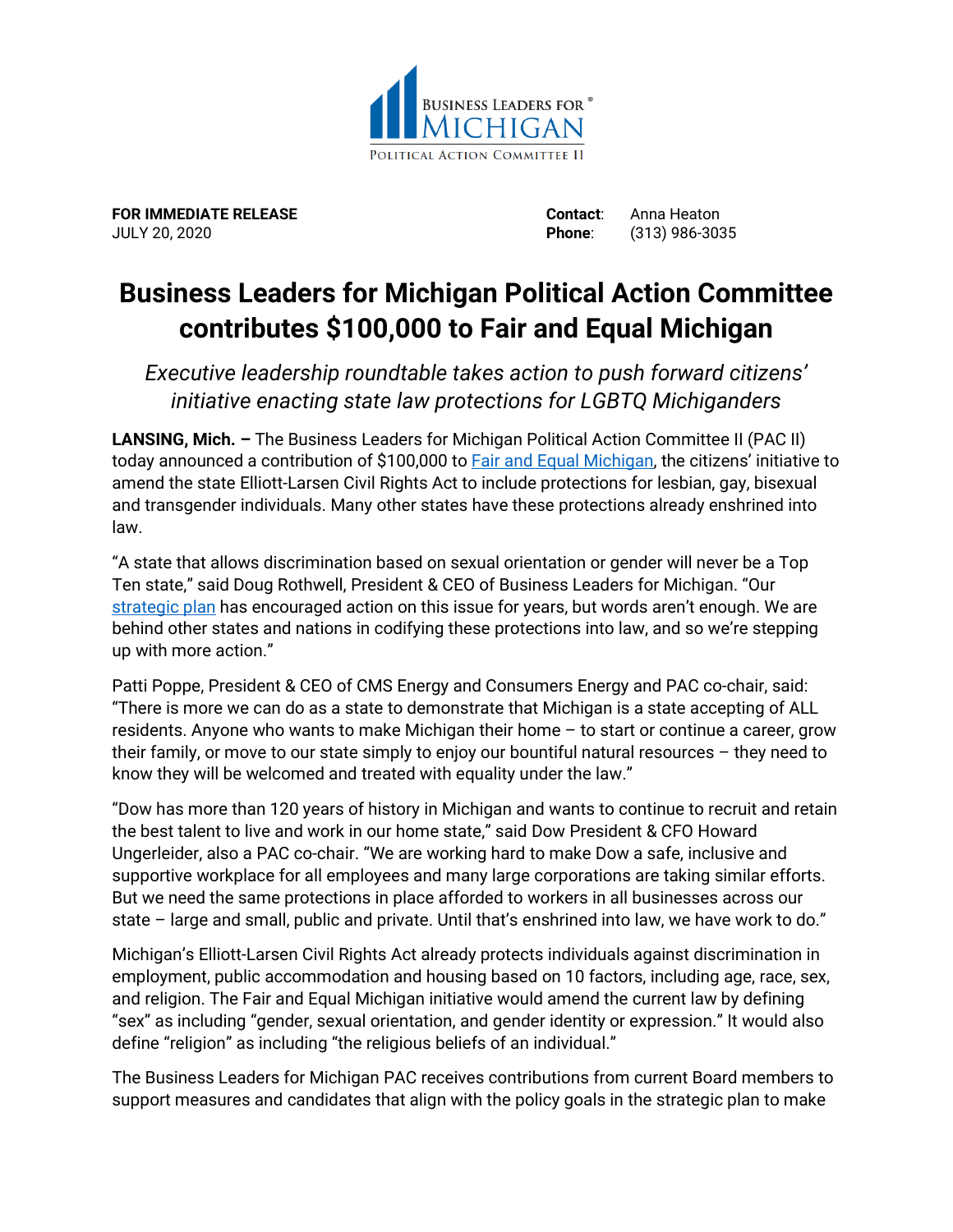

**FOR IMMEDIATE RELEASE Contact**: Anna Heaton JULY 20, 2020 **Phone**: (313) 986-3035

## **Business Leaders for Michigan Political Action Committee contributes \$100,000 to Fair and Equal Michigan**

*Executive leadership roundtable takes action to push forward citizens' initiative enacting state law protections for LGBTQ Michiganders*

**LANSING, Mich. –** The Business Leaders for Michigan Political Action Committee II (PAC II) today announced a contribution of \$100,000 to **Fair and Equal Michigan**, the citizens' initiative to amend the state Elliott-Larsen Civil Rights Act to include protections for lesbian, gay, bisexual and transgender individuals. Many other states have these protections already enshrined into law.

"A state that allows discrimination based on sexual orientation or gender will never be a Top Ten state," said Doug Rothwell, President & CEO of Business Leaders for Michigan. "Our [strategic plan](https://businessleadersformichigan.com/michigans-road-to-top-ten/the-plan/invest-in-people/Our%20strategic%20plan) has encouraged action on this issue for years, but words aren't enough. We are behind other states and nations in codifying these protections into law, and so we're stepping up with more action."

Patti Poppe, President & CEO of CMS Energy and Consumers Energy and PAC co-chair, said: "There is more we can do as a state to demonstrate that Michigan is a state accepting of ALL residents. Anyone who wants to make Michigan their home – to start or continue a career, grow their family, or move to our state simply to enjoy our bountiful natural resources – they need to know they will be welcomed and treated with equality under the law."

"Dow has more than 120 years of history in Michigan and wants to continue to recruit and retain the best talent to live and work in our home state," said Dow President & CFO Howard Ungerleider, also a PAC co-chair. "We are working hard to make Dow a safe, inclusive and supportive workplace for all employees and many large corporations are taking similar efforts. But we need the same protections in place afforded to workers in all businesses across our state – large and small, public and private. Until that's enshrined into law, we have work to do."

Michigan's Elliott-Larsen Civil Rights Act already protects individuals against discrimination in employment, public accommodation and housing based on 10 factors, including age, race, sex, and religion. The Fair and Equal Michigan initiative would amend the current law by defining "sex" as including "gender, sexual orientation, and gender identity or expression." It would also define "religion" as including "the religious beliefs of an individual."

The Business Leaders for Michigan PAC receives contributions from current Board members to support measures and candidates that align with the policy goals in the strategic plan to make